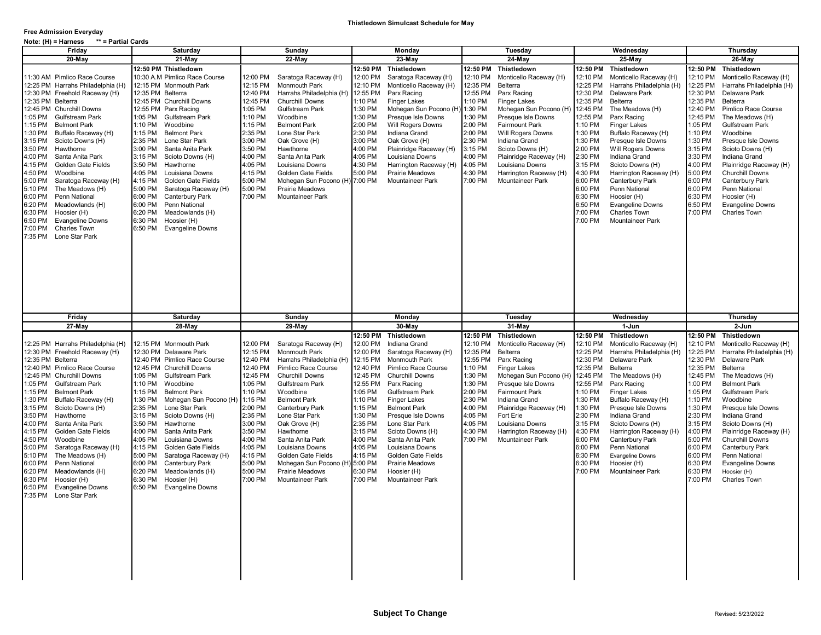## **Free Admission Everyday**

| ** = Partial Cards<br>Note: (H) = Harness                                                                                                                                                                                                                                                                                                                                                                                                                                                                                                                                                                                                                     |                                                                                                                                                                                                                                                                                                                                                                                                                                                                                                                                                                                                                                     |                                                                                                                                                                                                                                                                                                                                                                                                                                                                                                                                        |                                                                                                                                                                                                                                                                                                                                                                                                                                                                                                                |                                                                                                                                                                                                                                                                                                                                                                                                                                                                                              |                                                                                                                                                                                                                                                                                                                                                                                                                                                                                                                                                                                                                                                                    |                                                                                                                                                                                                                                                                                                                                                                                                                                                                                                                                                                                                                     |  |  |
|---------------------------------------------------------------------------------------------------------------------------------------------------------------------------------------------------------------------------------------------------------------------------------------------------------------------------------------------------------------------------------------------------------------------------------------------------------------------------------------------------------------------------------------------------------------------------------------------------------------------------------------------------------------|-------------------------------------------------------------------------------------------------------------------------------------------------------------------------------------------------------------------------------------------------------------------------------------------------------------------------------------------------------------------------------------------------------------------------------------------------------------------------------------------------------------------------------------------------------------------------------------------------------------------------------------|----------------------------------------------------------------------------------------------------------------------------------------------------------------------------------------------------------------------------------------------------------------------------------------------------------------------------------------------------------------------------------------------------------------------------------------------------------------------------------------------------------------------------------------|----------------------------------------------------------------------------------------------------------------------------------------------------------------------------------------------------------------------------------------------------------------------------------------------------------------------------------------------------------------------------------------------------------------------------------------------------------------------------------------------------------------|----------------------------------------------------------------------------------------------------------------------------------------------------------------------------------------------------------------------------------------------------------------------------------------------------------------------------------------------------------------------------------------------------------------------------------------------------------------------------------------------|--------------------------------------------------------------------------------------------------------------------------------------------------------------------------------------------------------------------------------------------------------------------------------------------------------------------------------------------------------------------------------------------------------------------------------------------------------------------------------------------------------------------------------------------------------------------------------------------------------------------------------------------------------------------|---------------------------------------------------------------------------------------------------------------------------------------------------------------------------------------------------------------------------------------------------------------------------------------------------------------------------------------------------------------------------------------------------------------------------------------------------------------------------------------------------------------------------------------------------------------------------------------------------------------------|--|--|
| Friday                                                                                                                                                                                                                                                                                                                                                                                                                                                                                                                                                                                                                                                        | Saturday                                                                                                                                                                                                                                                                                                                                                                                                                                                                                                                                                                                                                            | Sunday                                                                                                                                                                                                                                                                                                                                                                                                                                                                                                                                 | Monday                                                                                                                                                                                                                                                                                                                                                                                                                                                                                                         | Tuesday                                                                                                                                                                                                                                                                                                                                                                                                                                                                                      | Wednesday                                                                                                                                                                                                                                                                                                                                                                                                                                                                                                                                                                                                                                                          | Thursday                                                                                                                                                                                                                                                                                                                                                                                                                                                                                                                                                                                                            |  |  |
| $20-May$                                                                                                                                                                                                                                                                                                                                                                                                                                                                                                                                                                                                                                                      | 21-May                                                                                                                                                                                                                                                                                                                                                                                                                                                                                                                                                                                                                              | 22-May                                                                                                                                                                                                                                                                                                                                                                                                                                                                                                                                 | 23-May                                                                                                                                                                                                                                                                                                                                                                                                                                                                                                         | 24-May                                                                                                                                                                                                                                                                                                                                                                                                                                                                                       | $25-May$                                                                                                                                                                                                                                                                                                                                                                                                                                                                                                                                                                                                                                                           | 26-May                                                                                                                                                                                                                                                                                                                                                                                                                                                                                                                                                                                                              |  |  |
| 11:30 AM Pimlico Race Course<br>12:25 PM Harrahs Philadelphia (H)<br>12:30 PM Freehold Raceway (H)<br>12:35 PM Belterra<br>12:45 PM Churchill Downs<br>1:05 PM<br>Gulfstream Park<br>1:15 PM<br><b>Belmont Park</b><br>1:30 PM<br>Buffalo Raceway (H)<br>Scioto Downs (H)<br>3:15 PM<br>3:50 PM<br>Hawthorne<br>4:00 PM<br>Santa Anita Park<br>4:15 PM<br>Golden Gate Fields<br>4:50 PM<br>Woodbine<br>5:00 PM<br>Saratoga Raceway (H)<br>5:10 PM<br>The Meadows (H)<br>6:00 PM<br>Penn National<br>Meadowlands (H)<br>6:20 PM<br>6:30 PM<br>Hoosier (H)<br>6:50 PM<br><b>Evangeline Downs</b><br>7:00 PM<br><b>Charles Town</b><br>7:35 PM<br>Lone Star Park | 12:50 PM Thistledown<br>10:30 A.M Pimlico Race Course<br>12:15 PM Monmouth Park<br>12:35 PM Belterra<br>12:45 PM Churchill Downs<br>12:55 PM Parx Racing<br>1:05 PM<br><b>Gulfstream Park</b><br>1:10 PM<br>Woodbine<br>1:15 PM<br><b>Belmont Park</b><br>2:35 PM<br>Lone Star Park<br>3:00 PM<br>Santa Anita Park<br>3:15 PM<br>Scioto Downs (H)<br>3:50 PM<br>Hawthorne<br>4:05 PM<br>Louisiana Downs<br>4:15 PM<br>Golden Gate Fields<br>Saratoga Raceway (H)<br>5:00 PM<br>Canterbury Park<br>6:00 PM<br>6:00 PM<br>Penn National<br>6:20 PM<br>Meadowlands (H)<br>6:30 PM<br>Hoosier (H)<br>6:50 PM<br><b>Evangeline Downs</b> | 12:00 PM<br>Saratoga Raceway (H)<br>12:15 PM<br><b>Monmouth Park</b><br>12:40 PM<br>Harrahs Philadelphia (H<br>12:45 PM<br><b>Churchill Downs</b><br>1:05 PM<br><b>Gulfstream Park</b><br>1:10 PM<br>Woodbine<br>1:15 PM<br><b>Belmont Park</b><br>2:35 PM<br>Lone Star Park<br>3:00 PM<br>Oak Grove (H)<br>3:50 PM<br>Hawthorne<br>4:00 PM<br>Santa Anita Park<br>4:05 PM<br>Louisiana Downs<br>4:15 PM<br>Golden Gate Fields<br>5:00 PM<br>Mohegan Sun Pocono (H<br>Prairie Meadows<br>5:00 PM<br>7:00 PM<br><b>Mountaineer Park</b> | 12:50 PM<br>Thistledown<br>12:00 PM<br>Saratoga Raceway (H)<br>Monticello Raceway (H)<br>12:10 PM<br>12:55 PM<br>Parx Racing<br>1:10 PM<br><b>Finger Lakes</b><br>1:30 PM<br>Mohegan Sun Pocono (H<br>1:30 PM<br>Presque Isle Downs<br>2:00 PM<br>Will Rogers Downs<br>2:30 PM<br>Indiana Grand<br>3:00 PM<br>Oak Grove (H)<br>4:00 PM<br>Plainridge Raceway (H)<br>4:05 PM<br>Louisiana Downs<br>4:30 PM<br>Harrington Raceway (H)<br>5:00 PM<br><b>Prairie Meadows</b><br>7:00 PM<br><b>Mountaineer Park</b> | 12:50 PM<br>Thistledown<br>12:10 PM<br>Monticello Raceway (H)<br>12:35 PM<br>Belterra<br>12:55 PM<br>Parx Racing<br>1:10 PM<br><b>Finger Lakes</b><br>1:30 PM<br>Mohegan Sun Pocono (H<br>:30 PM<br>Presque Isle Downs<br>2:00 PM<br><b>Fairmount Park</b><br>2:00 PM<br>Will Rogers Downs<br>2:30 PM<br>Indiana Grand<br>Scioto Downs (H)<br>3:15 PM<br>4:00 PM<br>Plainridge Raceway (H)<br>4:05 PM<br>Louisiana Downs<br>1:30 PM<br>Harrington Raceway (H)<br>7:00 PM<br>Mountaineer Park | 12:50 PM<br>Thistledown<br>12:10 PM<br>Monticello Raceway (H)<br>12:25 PM<br>Harrahs Philadelphia (H)<br>12:30 PM<br>Delaware Park<br>12:35 PM<br>Belterra<br>12:45 PM<br>The Meadows (H)<br>12:55 PM<br>Parx Racing<br><b>Finger Lakes</b><br>1:10 PM<br>Buffalo Raceway (H)<br>1:30 PM<br>1:30 PM<br>Presque Isle Downs<br>2:00 PM<br>Will Rogers Downs<br>2:30 PM<br>Indiana Grand<br>3:15 PM<br>Scioto Downs (H)<br>4:30 PM<br>Harrington Raceway (H)<br><b>Canterbury Park</b><br>6:00 PM<br>6:00 PM<br>Penn National<br>6:30 PM<br>Hoosier (H)<br>6:50 PM<br><b>Evangeline Downs</b><br>7:00 PM<br><b>Charles Town</b><br>7:00 PM<br><b>Mountaineer Park</b> | 12:50 PM<br>Thistledown<br>12:10 PM<br>Monticello Raceway (H)<br>12:25 PM<br>Harrahs Philadelphia (H)<br>12:30 PM<br>Delaware Park<br>12:35 PM<br>Belterra<br>12:40 PM<br>Pimlico Race Course<br>12:45 PM<br>The Meadows (H)<br>1:05 PM<br>Gulfstream Park<br>1:10 PM<br>Woodbine<br>1:30 PM<br>Presque Isle Downs<br>3:15 PM<br>Scioto Downs (H)<br>3:30 PM<br>Indiana Grand<br>4:00 PM<br>Plainridge Raceway (H)<br>5:00 PM<br><b>Churchill Downs</b><br>6:00 PM<br>Canterbury Park<br>6:00 PM<br>Penn National<br>6:30 PM<br>Hoosier (H)<br>6:50 PM<br><b>Evangeline Downs</b><br>7:00 PM<br><b>Charles Town</b> |  |  |
| Friday<br>27-May<br>12:25 PM Harrahs Philadelphia (H)<br>12:30 PM Freehold Raceway (H)<br>12:35 PM Belterra<br>12:40 PM Pimlico Race Course<br>12:45 PM Churchill Downs<br>1:05 PM<br><b>Gulfstream Park</b>                                                                                                                                                                                                                                                                                                                                                                                                                                                  | Saturday<br>28-May<br>12:15 PM Monmouth Park<br>12:30 PM Delaware Park<br>12:40 PM Pimlico Race Course<br>12:45 PM Churchill Downs<br>1:05 PM<br><b>Gulfstream Park</b><br>1:10 PM<br>Woodbine                                                                                                                                                                                                                                                                                                                                                                                                                                      | Sunday<br>29-May<br>12:00 PM<br>Saratoga Raceway (H)<br>12:15 PM<br><b>Monmouth Park</b><br>Harrahs Philadelphia (H<br>12:40 PM<br>Pimlico Race Course<br>12:40 PM<br>12:45 PM<br><b>Churchill Downs</b><br>1:05 PM<br>Gulfstream Park                                                                                                                                                                                                                                                                                                 | Monday<br>30-May<br>12:50 PM<br>Thistledown<br>12:00 PM<br>Indiana Grand<br>12:00 PM<br>Saratoga Raceway (H)<br>12:15 PM<br><b>Monmouth Park</b><br>12:40 PM<br>Pimlico Race Course<br>12:45 PM<br><b>Churchill Downs</b><br>12:55 PM<br>Parx Racing                                                                                                                                                                                                                                                           | Tuesday<br>31-May<br>Thistledown<br>12:50 PM<br>12:10 PM<br>Monticello Raceway (H)<br>12:35 PM<br>Belterra<br>12:55 PM<br>Parx Racing<br>1:10 PM<br><b>Finger Lakes</b><br>1:30 PM<br>Mohegan Sun Pocono (H<br>:30 PM<br>Presque Isle Downs                                                                                                                                                                                                                                                  | Wednesday<br>1-Jun<br>12:50 PM<br>Thistledown<br>12:10 PM<br>Monticello Raceway (H)<br>12:25 PM<br>Harrahs Philadelphia (H)<br>12:30 PM<br>Delaware Park<br>12:35 PM<br>Belterra<br>12:45 PM<br>The Meadows (H)<br>12:55 PM<br>Parx Racing                                                                                                                                                                                                                                                                                                                                                                                                                         | Thursday<br>2-Jun<br>12:50 PM Thistledown<br>12:10 PM<br>Monticello Raceway (H)<br>12:25 PM<br>Harrahs Philadelphia (H)<br>12:30 PM<br>Delaware Park<br>12:35 PM<br>Belterra<br>12:45 PM<br>The Meadows (H)<br>1:00 PM<br><b>Belmont Park</b>                                                                                                                                                                                                                                                                                                                                                                       |  |  |
| 1:15 PM<br><b>Belmont Park</b><br>1:30 PM<br>Buffalo Raceway (H)<br>3:15 PM<br>Scioto Downs (H)<br>3:50 PM<br>Hawthorne<br>4:00 PM<br>Santa Anita Park<br>4:15 PM<br>Golden Gate Fields<br>4:50 PM<br>Woodbine<br>5:00 PM<br>Saratoga Raceway (H)<br>5:10 PM<br>The Meadows (H)<br>6:00 PM<br>Penn National<br>6:20 PM<br>Meadowlands (H)<br>6:30 PM<br>Hoosier (H)<br>6:50 PM<br><b>Evangeline Downs</b><br>7:35 PM Lone Star Park                                                                                                                                                                                                                           | 1:15 PM<br><b>Belmont Park</b><br>1:30 PM<br>Mohegan Sun Pocono (H)<br>2:35 PM<br>Lone Star Park<br>3:15 PM<br>Scioto Downs (H)<br>3:50 PM<br>Hawthorne<br>4:00 PM<br>Santa Anita Park<br>4:05 PM<br>Louisiana Downs<br>4:15 PM<br>Golden Gate Fields<br>5:00 PM<br>Saratoga Raceway (H)<br>6:00 PM<br><b>Canterbury Park</b><br>6:20 PM<br>Meadowlands (H)<br>6:30 PM<br>Hoosier (H)<br>6:50 PM<br><b>Evangeline Downs</b>                                                                                                                                                                                                         | 1:10 PM<br>Woodbine<br>1:15 PM<br><b>Belmont Park</b><br>2:00 PM<br>Canterbury Park<br>2:35 PM<br>Lone Star Park<br>3:00 PM<br>Oak Grove (H)<br>3:50 PM<br>Hawthorne<br>4:00 PM<br>Santa Anita Park<br>4:05 PM<br>Louisiana Downs<br>4:15 PM<br>Golden Gate Fields<br>5:00 PM<br>Mohegan Sun Pocono (I<br>5:00 PM<br><b>Prairie Meadows</b><br>7:00 PM<br><b>Mountaineer Park</b>                                                                                                                                                      | 1:05 PM<br>Gulfstream Park<br>1:10 PM<br><b>Finger Lakes</b><br>1:15 PM<br><b>Belmont Park</b><br>1:30 PM<br>Presque Isle Downs<br>2:35 PM<br>Lone Star Park<br>3:15 PM<br>Scioto Downs (H)<br>4:00 PM<br>Santa Anita Park<br>4:05 PM<br>Louisiana Downs<br>4:15 PM<br>Golden Gate Fields<br>5:00 PM<br><b>Prairie Meadows</b><br>6:30 PM<br>Hoosier (H)<br>7:00 PM<br><b>Mountaineer Park</b>                                                                                                                 | 2:00 PM<br><b>Fairmount Park</b><br>2:30 PM<br>Indiana Grand<br>4:00 PM<br>Plainridge Raceway (H)<br>4:05 PM<br>Fort Erie<br>4:05 PM<br>Louisiana Downs<br>4:30 PM<br>Harrington Raceway (H)<br>7:00 PM<br>Mountaineer Park                                                                                                                                                                                                                                                                  | 1:10 PM<br><b>Finger Lakes</b><br>1:30 PM<br>Buffalo Raceway (H)<br>1:30 PM<br>Presque Isle Downs<br>Indiana Grand<br>2:30 PM<br>Scioto Downs (H)<br>3:15 PM<br>4:30 PM<br>Harrington Raceway (H)<br>6:00 PM<br>Canterbury Park<br>Penn National<br>6:00 PM<br>6:30 PM<br><b>Evangeline Downs</b><br>6:30 PM<br>Hoosier (H)<br>7:00 PM<br><b>Mountaineer Park</b>                                                                                                                                                                                                                                                                                                  | 1:05 PM<br>Gulfstream Park<br>1:10 PM<br>Woodbine<br>1:30 PM<br>Presque Isle Downs<br>2:30 PM<br>Indiana Grand<br>3:15 PM<br>Scioto Downs (H)<br>4:00 PM<br>Plainridge Raceway (H)<br>5:00 PM<br><b>Churchill Downs</b><br>6:00 PM<br>Canterbury Park<br>6:00 PM<br>Penn National<br>6:30 PM<br><b>Evangeline Downs</b><br>6:30 PM<br>Hoosier (H)<br>7:00 PM<br><b>Charles Town</b>                                                                                                                                                                                                                                 |  |  |
|                                                                                                                                                                                                                                                                                                                                                                                                                                                                                                                                                                                                                                                               |                                                                                                                                                                                                                                                                                                                                                                                                                                                                                                                                                                                                                                     |                                                                                                                                                                                                                                                                                                                                                                                                                                                                                                                                        |                                                                                                                                                                                                                                                                                                                                                                                                                                                                                                                |                                                                                                                                                                                                                                                                                                                                                                                                                                                                                              |                                                                                                                                                                                                                                                                                                                                                                                                                                                                                                                                                                                                                                                                    |                                                                                                                                                                                                                                                                                                                                                                                                                                                                                                                                                                                                                     |  |  |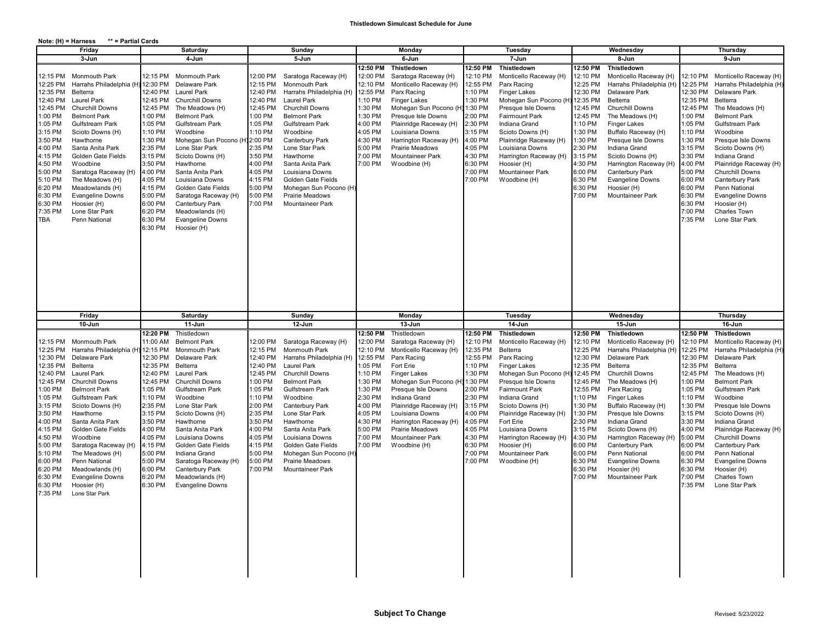## **Note: (H) = Harness \*\* = Partial Cards**

| Friday                                                                                                                                                                                                                                                                                                                                                                                                                                                                                                                                                                                                                              |                                                                                                                                                                                                                               | Saturday                                                                                                                                                                                                                                                                                                                                                                                          |                                                                                                                                                                                                | Sunday                                                                                                                                                                                                                                                                                                                                                        |                                                                                                                                                           | Monday                                                                                                                                                                                                                                                                                                                  |                                                                                                                                                                      | Tuesday                                                                                                                                                                                                                                                                                                                                               |                                                                                                                                                                                                | Wednesday                                                                                                                                                                                                                                                                                                                                                                                              |                                                                                                                                                                                                                    | Thursday                                                                                                                                                                                                                                                                                                                                                                                                      |  |
|-------------------------------------------------------------------------------------------------------------------------------------------------------------------------------------------------------------------------------------------------------------------------------------------------------------------------------------------------------------------------------------------------------------------------------------------------------------------------------------------------------------------------------------------------------------------------------------------------------------------------------------|-------------------------------------------------------------------------------------------------------------------------------------------------------------------------------------------------------------------------------|---------------------------------------------------------------------------------------------------------------------------------------------------------------------------------------------------------------------------------------------------------------------------------------------------------------------------------------------------------------------------------------------------|------------------------------------------------------------------------------------------------------------------------------------------------------------------------------------------------|---------------------------------------------------------------------------------------------------------------------------------------------------------------------------------------------------------------------------------------------------------------------------------------------------------------------------------------------------------------|-----------------------------------------------------------------------------------------------------------------------------------------------------------|-------------------------------------------------------------------------------------------------------------------------------------------------------------------------------------------------------------------------------------------------------------------------------------------------------------------------|----------------------------------------------------------------------------------------------------------------------------------------------------------------------|-------------------------------------------------------------------------------------------------------------------------------------------------------------------------------------------------------------------------------------------------------------------------------------------------------------------------------------------------------|------------------------------------------------------------------------------------------------------------------------------------------------------------------------------------------------|--------------------------------------------------------------------------------------------------------------------------------------------------------------------------------------------------------------------------------------------------------------------------------------------------------------------------------------------------------------------------------------------------------|--------------------------------------------------------------------------------------------------------------------------------------------------------------------------------------------------------------------|---------------------------------------------------------------------------------------------------------------------------------------------------------------------------------------------------------------------------------------------------------------------------------------------------------------------------------------------------------------------------------------------------------------|--|
| 3-Jun                                                                                                                                                                                                                                                                                                                                                                                                                                                                                                                                                                                                                               |                                                                                                                                                                                                                               | 4 Jun                                                                                                                                                                                                                                                                                                                                                                                             |                                                                                                                                                                                                | 5 Jun                                                                                                                                                                                                                                                                                                                                                         |                                                                                                                                                           | 6-Jun                                                                                                                                                                                                                                                                                                                   |                                                                                                                                                                      | 7-Jun                                                                                                                                                                                                                                                                                                                                                 |                                                                                                                                                                                                | 8-Jun                                                                                                                                                                                                                                                                                                                                                                                                  |                                                                                                                                                                                                                    | 9-Jun                                                                                                                                                                                                                                                                                                                                                                                                         |  |
| 12:15 PM<br>Monmouth Park<br>12:25 PM<br>Harrahs Philadelphia (H<br>12:35 PM<br>Belterra<br>12:40 PM<br><b>Laurel Park</b><br><b>Churchill Downs</b><br>12:45 PM<br>1:00 PM<br><b>Belmont Park</b><br>1:05 PM<br>Gulfstream Park<br>Scioto Downs (H)<br>3:15 PM<br>3:50 PM<br>Hawthorne<br>4:00 PM<br>Santa Anita Park<br>4:15 PM<br>Golden Gate Fields<br>4:50 PM<br>Woodbine<br>5:00 PM<br>Saratoga Raceway (H)<br>5:10 PM<br>The Meadows (H)<br>6:20 PM<br>Meadowlands (H)<br>6:30 PM<br><b>Evangeline Downs</b><br>6:30 PM<br>Hoosier (H)<br>Lone Star Park<br>7:35 PM<br>TBA<br>Penn National                                  | 12:15 PM<br>12:30 PM<br>12:40 PM<br>12:45 PM<br>12:45 PM<br>1:00 PM<br>1:05 PM<br>1:10 PM<br>1:30 PM<br>2:35 PM<br>3:15 PM<br>3:50 PM<br>4:00 PM<br>4:05 PM<br>4:15 PM<br>5:00 PM<br>6:00 PM<br>6:20 PM<br>6:30 PM<br>6:30 PM | Monmouth Park<br>Delaware Park<br><b>Laurel Park</b><br><b>Churchill Downs</b><br>The Meadows (H)<br><b>Belmont Park</b><br>Gulfstream Park<br>Woodbine<br>Mohegan Sun Pocono (H<br>Lone Star Park<br>Scioto Downs (H)<br>Hawthorne<br>Santa Anita Park<br>Louisiana Downs<br>Golden Gate Fields<br>Saratoga Raceway (H)<br>Canterbury Park<br>Meadowlands (H)<br>Evangeline Downs<br>Hoosier (H) | 12:00 PM<br>12:15 PM<br>12:40 PM<br>12:40 PM<br>12:45 PM<br>1:00 PM<br>1:05 PM<br>1:10 PM<br>2:00 PM<br>2:35 PM<br>3:50 PM<br>4:00 PM<br>4:05 PM<br>4:15 PM<br>5:00 PM<br>5:00 PM<br>7:00 PM   | Saratoga Raceway (H)<br>Monmouth Park<br>Harrahs Philadelphia (H)<br><b>Laurel Park</b><br><b>Churchill Downs</b><br><b>Belmont Park</b><br><b>Gulfstream Park</b><br>Woodbine<br>Canterbury Park<br>Lone Star Park<br>Hawthorne<br>Santa Anita Park<br>Louisiana Downs<br>Golden Gate Fields<br>Mohegan Sun Pocono (H<br>Prairie Meadows<br>Mountaineer Park | 12:50 PM<br>12:00 PM<br>12:10 PM<br>12:55 PM<br>1:10 PM<br>1:30 PM<br>1:30 PM<br>4:00 PM<br>4:05 PM<br>4:30 PM<br>5:00 PM<br>7:00 PM<br>7:00 PM           | Thistledown<br>Saratoga Raceway (H)<br>Monticello Raceway (H)<br>Parx Racing<br><b>Finger Lakes</b><br>Mohegan Sun Pocono (H) 1:30 PM<br>Presque Isle Downs<br>Plainridge Raceway (H)<br>Louisiana Downs<br>Harrington Raceway (H)<br>Prairie Meadows<br>Mountaineer Park<br>Woodbine (H)                               | 12:50 PM<br>12:10 PM<br>12:55 PM<br>1:10 PM<br>1:30 PM<br>2:00 PM<br>2:30 PM<br>3:15 PM<br>4:00 PM<br>4:05 PM<br>4:30 PM<br>6:30 PM<br>7:00 PM<br>7:00 PM            | Thistledown<br>Monticello Raceway (H)<br>Parx Racing<br><b>Finger Lakes</b><br>Mohegan Sun Pocono (H<br>Presque Isle Downs<br><b>Fairmount Park</b><br>Indiana Grand<br>Scioto Downs (H)<br>Plainridge Raceway (H)<br>Louisiana Downs<br>Harrington Raceway (H)<br>Hoosier (H)<br>Mountaineer Park<br>Woodbine (H)                                    | 12:50 PM<br>12:10 PM<br>12:25 PM<br>12:30 PM<br>12:35 PM<br>12:45 PM<br>12:45 PM<br>1:10 PM<br>1:30 PM<br>1:30 PM<br>2:30 PM<br>3:15 PM<br>4:30 PM<br>6:00 PM<br>6:30 PM<br>6:30 PM<br>7:00 PM | Thistledown<br>Monticello Raceway (H)<br>Harrahs Philadelphia (H)<br>Delaware Park<br>Belterra<br><b>Churchill Downs</b><br>The Meadows (H)<br><b>Finger Lakes</b><br>Buffalo Raceway (H)<br>Presque Isle Downs<br>Indiana Grand<br>Scioto Downs (H)<br>Harrington Raceway (H)<br>Canterbury Park<br><b>Evangeline Downs</b><br>Hoosier (H)<br>Mountaineer Park                                        | 12:25 PM<br>12:30 PM<br>12:35 PM<br>12:45 PM<br>1:00 PM<br>1:05 PM<br>1:10 PM<br>1:30 PM<br>3:15 PM<br>3:30 PM<br>4:00 PM<br>5:00 PM<br>6:00 PM<br>6:00 PM<br>6:30 PM<br>6:30 PM<br>7:00 PM<br>7:35 PM             | 12:10 PM Monticello Raceway (H)<br>Harrahs Philadelphia (H)<br>Delaware Park<br>Belterra<br>The Meadows (H)<br><b>Belmont Park</b><br>Gulfstream Park<br>Woodbine<br>Presque Isle Downs<br>Scioto Downs (H)<br>Indiana Grand<br>Plainridge Raceway (H)<br><b>Churchill Downs</b><br>Canterbury Park<br>Penn National<br><b>Evangeline Downs</b><br>Hoosier (H)<br>Charles Town<br>Lone Star Park              |  |
|                                                                                                                                                                                                                                                                                                                                                                                                                                                                                                                                                                                                                                     |                                                                                                                                                                                                                               |                                                                                                                                                                                                                                                                                                                                                                                                   |                                                                                                                                                                                                |                                                                                                                                                                                                                                                                                                                                                               |                                                                                                                                                           |                                                                                                                                                                                                                                                                                                                         |                                                                                                                                                                      |                                                                                                                                                                                                                                                                                                                                                       |                                                                                                                                                                                                |                                                                                                                                                                                                                                                                                                                                                                                                        |                                                                                                                                                                                                                    |                                                                                                                                                                                                                                                                                                                                                                                                               |  |
| Friday                                                                                                                                                                                                                                                                                                                                                                                                                                                                                                                                                                                                                              | Saturday                                                                                                                                                                                                                      |                                                                                                                                                                                                                                                                                                                                                                                                   | Sunday                                                                                                                                                                                         |                                                                                                                                                                                                                                                                                                                                                               | Monday                                                                                                                                                    |                                                                                                                                                                                                                                                                                                                         | Tuesday                                                                                                                                                              |                                                                                                                                                                                                                                                                                                                                                       | Wednesday                                                                                                                                                                                      |                                                                                                                                                                                                                                                                                                                                                                                                        | Thursday                                                                                                                                                                                                           |                                                                                                                                                                                                                                                                                                                                                                                                               |  |
| 10-Jun                                                                                                                                                                                                                                                                                                                                                                                                                                                                                                                                                                                                                              | 12:20 PM                                                                                                                                                                                                                      | 11-Jun                                                                                                                                                                                                                                                                                                                                                                                            |                                                                                                                                                                                                | 12-Jun                                                                                                                                                                                                                                                                                                                                                        | 12:50 PM                                                                                                                                                  | 13-Jun                                                                                                                                                                                                                                                                                                                  | 12:50 PM                                                                                                                                                             | 14-Jun                                                                                                                                                                                                                                                                                                                                                | 12:50 PM                                                                                                                                                                                       | 15-Jun                                                                                                                                                                                                                                                                                                                                                                                                 | 12:50 PM                                                                                                                                                                                                           | 16-Jun                                                                                                                                                                                                                                                                                                                                                                                                        |  |
| 12:15 PM<br><b>Monmouth Park</b><br>12:25 PM<br>Harrahs Philadelphia (H<br>12:30 PM<br>Delaware Park<br>12:35 PM<br>Belterra<br>12:40 PM<br>Laurel Park<br>12:45 PM<br><b>Churchill Downs</b><br>1:00 PM<br><b>Belmont Park</b><br>1:05 PM<br>Gulfstream Park<br>3:15 PM<br>Scioto Downs (H)<br>3:50 PM<br>Hawthorne<br>4:00 PM<br>Santa Anita Park<br>4:15 PM<br>Golden Gate Fields<br>4:50 PM<br>Woodbine<br>5:00 PM<br>Saratoga Raceway (H)<br>5:10 PM<br>The Meadows (H)<br>6:00 PM<br>Penn National<br>6:20 PM<br>Meadowlands (H)<br>6:30 PM<br><b>Evangeline Downs</b><br>6:30 PM<br>Hoosier (H)<br>7:35 PM<br>Lone Star Park | 11:00 AM<br>12:15 PM<br>12:30 PM<br>12:35 PM<br>12:40 PM<br>12:45 PM<br>1:05 PM<br>1:10 PM<br>2:35 PM<br>3:15 PM<br>3:50 PM<br>4:00 PM<br>4:05 PM<br>4:15 PM<br>5:00 PM<br>5:00 PM<br>6:00 PM<br>6:20 PM<br>6:30 PM           | Thistledown<br><b>Belmont Park</b><br><b>Monmouth Park</b><br>Delaware Park<br>Belterra<br>Laurel Park<br><b>Churchill Downs</b><br>Gulfstream Park<br>Woodbine<br>Lone Star Park<br>Scioto Downs (H)<br>Hawthorne<br>Santa Anita Park<br>Louisiana Downs<br>Golden Gate Fields<br>Indiana Grand<br>Saratoga Raceway (H)<br>Canterbury Park<br>Meadowlands (H)<br><b>Evangeline Downs</b>         | 12:00 PM<br>12:15 PM<br>12:40 PM<br>12:40 PM<br>12:45 PM<br>1:00 PM<br>1:05 PM<br>1:10 PM<br>$2:00$ PM<br>2:35 PM<br>3:50 PM<br>4:00 PM<br>4:05 PM<br>4:15 PM<br>5:00 PM<br>5:00 PM<br>7:00 PM | Saratoga Raceway (H)<br>Monmouth Park<br>Harrahs Philadelphia (H)<br><b>Laurel Park</b><br><b>Churchill Downs</b><br><b>Belmont Park</b><br>Gulfstream Park<br>Woodbine<br>Canterbury Park<br>Lone Star Park<br>Hawthorne<br>Santa Anita Park<br>Louisiana Downs<br>Golden Gate Fields<br>Mohegan Sun Pocono (H<br>Prairie Meadows<br>Mountaineer Park        | 12:00 PM<br>12:10 PM<br>12:55 PM<br>1:05 PM<br>1:10 PM<br>1:30 PM<br>1:30 PM<br>2:30 PM<br>4:00 PM<br>4:05 PM<br>4:30 PM<br>5:00 PM<br>7:00 PM<br>7:00 PM | Thistledown<br>Saratoga Raceway (H)<br>Monticello Raceway (H)<br>Parx Racing<br>Fort Erie<br><b>Finger Lakes</b><br>Mohegan Sun Pocono (H) 1:30 PM<br>Presque Isle Downs<br>Indiana Grand<br>Plainridge Raceway (H)<br>Louisiana Downs<br>Harrington Raceway (H)<br>Prairie Meadows<br>Mountaineer Park<br>Woodbine (H) | 12:10 PM<br>12:35 PM<br>12:55 PM<br>1:10 PM<br>1:30 PM<br>2:00 PM<br>2:30 PM<br>3:15 PM<br>4:00 PM<br>4:05 PM<br>4:05 PM<br>4:30 PM<br>6:30 PM<br>7:00 PM<br>7:00 PM | Thistledown<br>Monticello Raceway (H)<br>Belterra<br>Parx Racing<br><b>Finger Lakes</b><br>Mohegan Sun Pocono (H) 12:45 PM<br>Presque Isle Downs<br><b>Fairmount Park</b><br>Indiana Grand<br>Scioto Downs (H)<br>Plainridge Raceway (H)<br>Fort Erie<br>Louisiana Downs<br>Harrington Raceway (H)<br>Hoosier (H)<br>Mountaineer Park<br>Woodbine (H) | 12:10 PM<br>12:25 PM<br>12:30 PM<br>12:35 PM<br>12:45 PM<br>12:55 PM<br>1:10 PM<br>1:30 PM<br>1:30 PM<br>2:30 PM<br>3:15 PM<br>4:30 PM<br>6:00 PM<br>6:00 PM<br>6:30 PM<br>6:30 PM<br>7:00 PM  | Thistledown<br>Monticello Raceway (H)<br>Harrahs Philadelphia (H)<br>Delaware Park<br>Belterra<br><b>Churchill Downs</b><br>The Meadows (H)<br>Parx Racing<br><b>Finger Lakes</b><br>Buffalo Raceway (H)<br>Presque Isle Downs<br>Indiana Grand<br>Scioto Downs (H)<br>Harrington Raceway (H)<br>Canterbury Park<br>Penn National<br><b>Evangeline Downs</b><br>Hoosier (H)<br><b>Mountaineer Park</b> | 12:10 PM<br>12:25 PM<br>12:30 PM<br>12:35 PM<br>12:45 PM<br>1:00 PM<br>1:05 PM<br>1:10 PM<br>1:30 PM<br>3:15 PM<br>3:30 PM<br>4:00 PM<br>5:00 PM<br>6:00 PM<br>6:00 PM<br>6:30 PM<br>6:30 PM<br>7:00 PM<br>7:35 PM | Thistledown<br>Monticello Raceway (H)<br>Harrahs Philadelphia (H)<br>Delaware Park<br>Belterra<br>The Meadows (H)<br><b>Belmont Park</b><br>Gulfstream Park<br>Woodbine<br>Presque Isle Downs<br>Scioto Downs (H)<br>Indiana Grand<br>Plainridge Raceway (H)<br><b>Churchill Downs</b><br>Canterbury Park<br>Penn National<br><b>Evangeline Downs</b><br>Hoosier (H)<br><b>Charles Town</b><br>Lone Star Park |  |